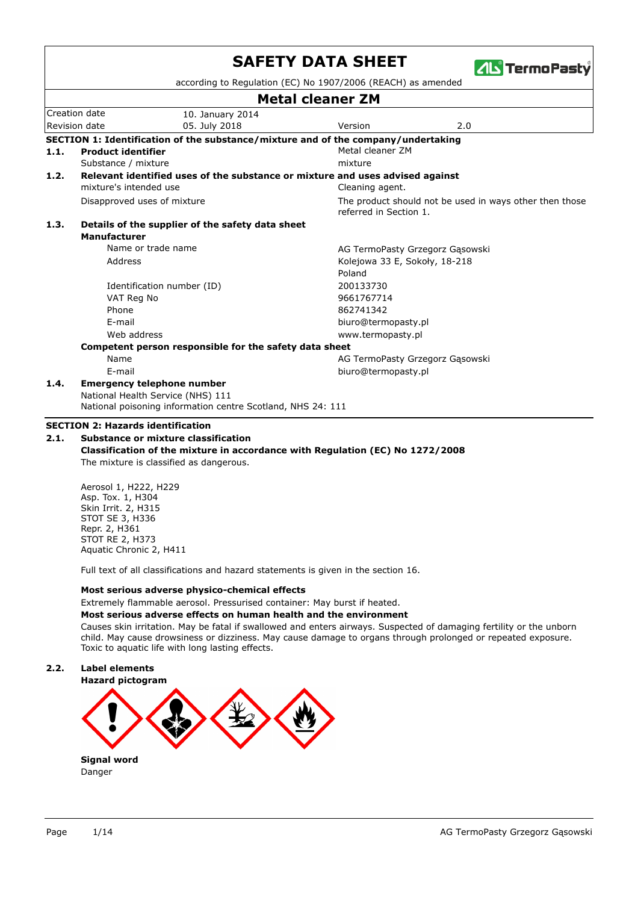|      |                             |                                                                                                  | <b>Metal cleaner ZM</b>       |                                                         |
|------|-----------------------------|--------------------------------------------------------------------------------------------------|-------------------------------|---------------------------------------------------------|
|      | Creation date               | 10. January 2014                                                                                 |                               |                                                         |
|      | Revision date               | 05. July 2018                                                                                    | Version                       | 2.0                                                     |
|      |                             | SECTION 1: Identification of the substance/mixture and of the company/undertaking                |                               |                                                         |
| 1.1. | <b>Product identifier</b>   |                                                                                                  | Metal cleaner ZM              |                                                         |
|      | Substance / mixture         |                                                                                                  | mixture                       |                                                         |
| 1.2. |                             | Relevant identified uses of the substance or mixture and uses advised against                    |                               |                                                         |
|      | mixture's intended use      |                                                                                                  | Cleaning agent.               |                                                         |
|      | Disapproved uses of mixture |                                                                                                  | referred in Section 1.        | The product should not be used in ways other then those |
| 1.3. |                             | Details of the supplier of the safety data sheet                                                 |                               |                                                         |
|      | <b>Manufacturer</b>         |                                                                                                  |                               |                                                         |
|      |                             | Name or trade name                                                                               |                               | AG TermoPasty Grzegorz Gąsowski                         |
|      | Address                     |                                                                                                  | Kolejowa 33 E, Sokoły, 18-218 |                                                         |
|      |                             |                                                                                                  | Poland                        |                                                         |
|      |                             | Identification number (ID)                                                                       | 200133730                     |                                                         |
|      | VAT Reg No                  |                                                                                                  | 9661767714                    |                                                         |
|      | Phone                       |                                                                                                  | 862741342                     |                                                         |
|      | E-mail                      |                                                                                                  | biuro@termopasty.pl           |                                                         |
|      | Web address                 |                                                                                                  | www.termopasty.pl             |                                                         |
|      |                             | Competent person responsible for the safety data sheet                                           |                               |                                                         |
|      | Name                        |                                                                                                  |                               | AG TermoPasty Grzegorz Gąsowski                         |
|      | F-mail                      |                                                                                                  | biuro@termopasty.pl           |                                                         |
| 1.4. |                             | <b>Emergency telephone number</b>                                                                |                               |                                                         |
|      |                             | National Health Service (NHS) 111<br>National poisoning information centre Scotland, NHS 24: 111 |                               |                                                         |

The mixture is classified as dangerous.

Aerosol 1, H222, H229 Asp. Tox. 1, H304 Skin Irrit. 2, H315 STOT SE 3, H336 Repr. 2, H361 STOT RE 2, H373 Aquatic Chronic 2, H411

Full text of all classifications and hazard statements is given in the section 16.

#### **Most serious adverse physico-chemical effects**

## Extremely flammable aerosol. Pressurised container: May burst if heated.

**Most serious adverse effects on human health and the environment**

Causes skin irritation. May be fatal if swallowed and enters airways. Suspected of damaging fertility or the unborn child. May cause drowsiness or dizziness. May cause damage to organs through prolonged or repeated exposure. Toxic to aquatic life with long lasting effects.

## **2.2. Label elements**



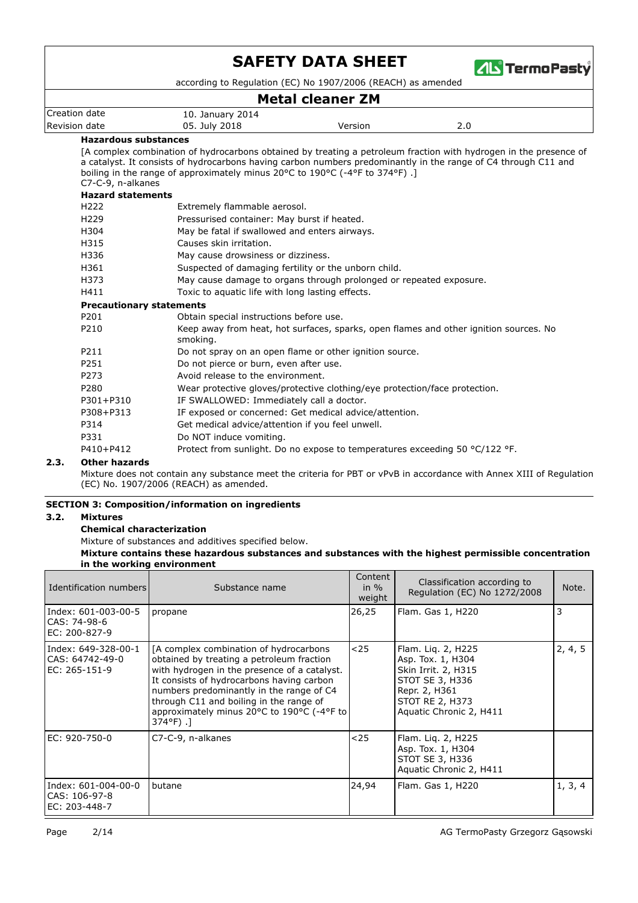

according to Regulation (EC) No 1907/2006 (REACH) as amended

# **Metal cleaner ZM**

| Creation date        | 10. January 2014 |         |     |  |
|----------------------|------------------|---------|-----|--|
| Revision date        | 05. July 2018    | Version | 2.0 |  |
| Hanavdaus sukskansse |                  |         |     |  |

### **Hazardous substances**

[A complex combination of hydrocarbons obtained by treating a petroleum fraction with hydrogen in the presence of a catalyst. It consists of hydrocarbons having carbon numbers predominantly in the range of C4 through C11 and boiling in the range of approximately minus 20°C to 190°C (-4°F to 374°F) .] C7-C-9, n-alkanes **Hazard statements** H222 Extremely flammable aerosol. H229 Pressurised container: May burst if heated. H304 May be fatal if swallowed and enters airways. H315 Causes skin irritation. H336 May cause drowsiness or dizziness. H361 Suspected of damaging fertility or the unborn child. H373 May cause damage to organs through prolonged or repeated exposure. H411 Toxic to aquatic life with long lasting effects. **Precautionary statements** P201 Obtain special instructions before use. Keep away from heat, hot surfaces, sparks, open flames and other ignition sources. No smoking. P210 P211 Do not spray on an open flame or other ignition source. P251 Do not pierce or burn, even after use. P273 Avoid release to the environment. P280 Wear protective gloves/protective clothing/eye protection/face protection. P301+P310 IF SWALLOWED: Immediately call a doctor. P308+P313 IF exposed or concerned: Get medical advice/attention. P314 Get medical advice/attention if you feel unwell. P331 Do NOT induce vomiting. P410+P412 Protect from sunlight. Do no expose to temperatures exceeding 50 °C/122 °F.

## **2.3. Other hazards**

Mixture does not contain any substance meet the criteria for PBT or vPvB in accordance with Annex XIII of Regulation (EC) No. 1907/2006 (REACH) as amended.

## **SECTION 3: Composition/information on ingredients**

#### **3.2. Mixtures**

#### **Chemical characterization**

Mixture of substances and additives specified below.

**Mixture contains these hazardous substances and substances with the highest permissible concentration in the working environment**

| Identification numbers                                  | Substance name                                                                                                                                                                                                                                                                                                                               | Content<br>in $%$<br>weight | Classification according to<br>Regulation (EC) No 1272/2008                                                                                      | Note.   |
|---------------------------------------------------------|----------------------------------------------------------------------------------------------------------------------------------------------------------------------------------------------------------------------------------------------------------------------------------------------------------------------------------------------|-----------------------------|--------------------------------------------------------------------------------------------------------------------------------------------------|---------|
| Index: 601-003-00-5<br>CAS: 74-98-6<br>EC: 200-827-9    | propane                                                                                                                                                                                                                                                                                                                                      | 26,25                       | Flam. Gas 1, H220                                                                                                                                | 3       |
| Index: 649-328-00-1<br>CAS: 64742-49-0<br>EC: 265-151-9 | [A complex combination of hydrocarbons]<br>obtained by treating a petroleum fraction<br>with hydrogen in the presence of a catalyst.<br>It consists of hydrocarbons having carbon<br>numbers predominantly in the range of C4<br>through C11 and boiling in the range of<br>approximately minus 20°C to 190°C (-4°F to<br>$374^{\circ}F$ ).] | $25$                        | Flam. Lig. 2, H225<br>Asp. Tox. 1, H304<br>Skin Irrit. 2, H315<br>STOT SE 3, H336<br>Repr. 2, H361<br>STOT RE 2, H373<br>Aquatic Chronic 2, H411 | 2, 4, 5 |
| EC: 920-750-0                                           | C7-C-9, n-alkanes                                                                                                                                                                                                                                                                                                                            | $25$                        | Flam. Lig. 2, H225<br>Asp. Tox. 1, H304<br>STOT SE 3, H336<br>Aquatic Chronic 2, H411                                                            |         |
| Index: 601-004-00-0<br>CAS: 106-97-8<br>EC: 203-448-7   | butane                                                                                                                                                                                                                                                                                                                                       | 24,94                       | Flam. Gas 1, H220                                                                                                                                | 1, 3, 4 |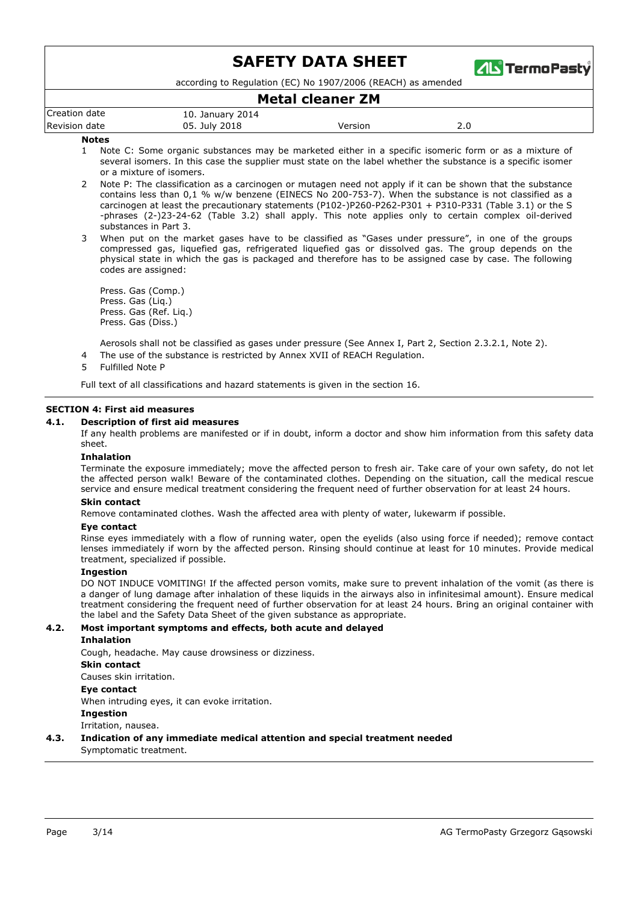

according to Regulation (EC) No 1907/2006 (REACH) as amended

## **Metal cleaner ZM**

| Creation date | 10. January 2014 |         |     |
|---------------|------------------|---------|-----|
| Revision date | 05. July 2018    | Version | z.u |

#### **Notes**

- Note C: Some organic substances may be marketed either in a specific isomeric form or as a mixture of several isomers. In this case the supplier must state on the label whether the substance is a specific isomer or a mixture of isomers. 1
- Note P: The classification as a carcinogen or mutagen need not apply if it can be shown that the substance contains less than 0,1 % w/w benzene (EINECS No 200-753-7). When the substance is not classified as a carcinogen at least the precautionary statements (P102-)P260-P262-P301 + P310-P331 (Table 3.1) or the S -phrases (2-)23-24-62 (Table 3.2) shall apply. This note applies only to certain complex oil-derived substances in Part 3.  $\overline{2}$
- When put on the market gases have to be classified as "Gases under pressure", in one of the groups compressed gas, liquefied gas, refrigerated liquefied gas or dissolved gas. The group depends on the physical state in which the gas is packaged and therefore has to be assigned case by case. The following codes are assigned: 3

Press. Gas (Comp.) Press. Gas (Liq.) Press. Gas (Ref. Liq.) Press. Gas (Diss.)

Aerosols shall not be classified as gases under pressure (See Annex I, Part 2, Section 2.3.2.1, Note 2).

- 4 The use of the substance is restricted by Annex XVII of REACH Regulation.
- 5 Fulfilled Note P

Full text of all classifications and hazard statements is given in the section 16.

#### **SECTION 4: First aid measures**

#### **4.1. Description of first aid measures**

If any health problems are manifested or if in doubt, inform a doctor and show him information from this safety data sheet.

#### **Inhalation**

Terminate the exposure immediately; move the affected person to fresh air. Take care of your own safety, do not let the affected person walk! Beware of the contaminated clothes. Depending on the situation, call the medical rescue service and ensure medical treatment considering the frequent need of further observation for at least 24 hours.

#### **Skin contact**

Remove contaminated clothes. Wash the affected area with plenty of water, lukewarm if possible.

#### **Eye contact**

Rinse eyes immediately with a flow of running water, open the eyelids (also using force if needed); remove contact lenses immediately if worn by the affected person. Rinsing should continue at least for 10 minutes. Provide medical treatment, specialized if possible.

#### **Ingestion**

DO NOT INDUCE VOMITING! If the affected person vomits, make sure to prevent inhalation of the vomit (as there is a danger of lung damage after inhalation of these liquids in the airways also in infinitesimal amount). Ensure medical treatment considering the frequent need of further observation for at least 24 hours. Bring an original container with the label and the Safety Data Sheet of the given substance as appropriate.

## **4.2. Most important symptoms and effects, both acute and delayed**

## **Inhalation**

Cough, headache. May cause drowsiness or dizziness.

## **Skin contact**

Causes skin irritation.

## **Eye contact**

**Ingestion** When intruding eyes, it can evoke irritation.

Irritation, nausea.

## Symptomatic treatment. **4.3. Indication of any immediate medical attention and special treatment needed**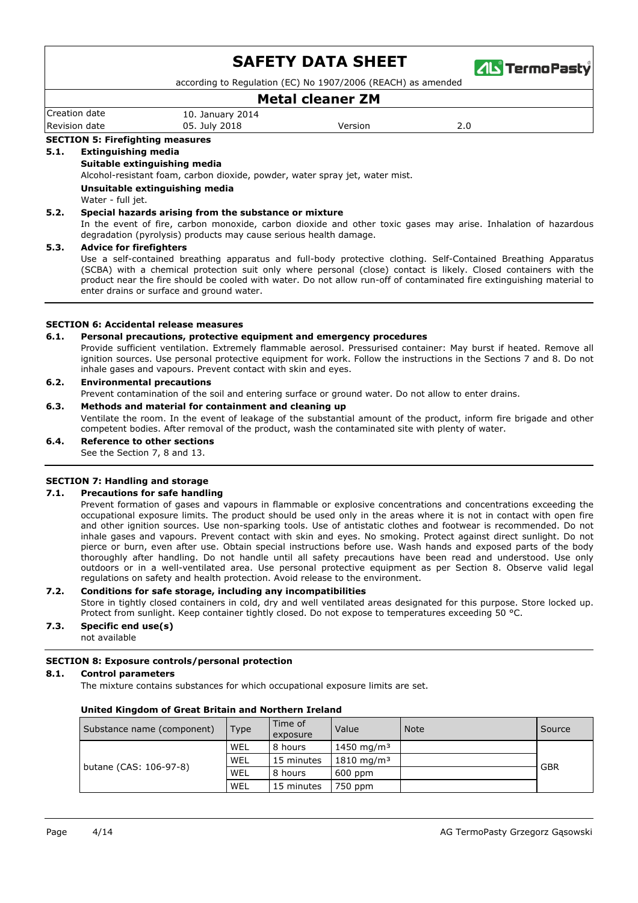

according to Regulation (EC) No 1907/2006 (REACH) as amended

# **Metal cleaner ZM**

| Creation date | 10. January 2014 |         |     |
|---------------|------------------|---------|-----|
| Revision date | 05. July 2018    | Version | 2.0 |

### **SECTION 5: Firefighting measures**

#### **5.1. Extinguishing media**

### **Suitable extinguishing media**

Alcohol-resistant foam, carbon dioxide, powder, water spray jet, water mist.

#### **Unsuitable extinguishing media**

Water - full jet.

#### **5.2. Special hazards arising from the substance or mixture**

In the event of fire, carbon monoxide, carbon dioxide and other toxic gases may arise. Inhalation of hazardous degradation (pyrolysis) products may cause serious health damage.

#### **5.3. Advice for firefighters**

Use a self-contained breathing apparatus and full-body protective clothing. Self-Contained Breathing Apparatus (SCBA) with a chemical protection suit only where personal (close) contact is likely. Closed containers with the product near the fire should be cooled with water. Do not allow run-off of contaminated fire extinguishing material to enter drains or surface and ground water.

### **SECTION 6: Accidental release measures**

#### **6.1. Personal precautions, protective equipment and emergency procedures**

Provide sufficient ventilation. Extremely flammable aerosol. Pressurised container: May burst if heated. Remove all ignition sources. Use personal protective equipment for work. Follow the instructions in the Sections 7 and 8. Do not inhale gases and vapours. Prevent contact with skin and eyes.

### **6.2. Environmental precautions**

Prevent contamination of the soil and entering surface or ground water. Do not allow to enter drains.

#### **6.3. Methods and material for containment and cleaning up**

Ventilate the room. In the event of leakage of the substantial amount of the product, inform fire brigade and other competent bodies. After removal of the product, wash the contaminated site with plenty of water.

### **6.4. Reference to other sections**

See the Section 7, 8 and 13.

#### **SECTION 7: Handling and storage**

#### **7.1. Precautions for safe handling**

Prevent formation of gases and vapours in flammable or explosive concentrations and concentrations exceeding the occupational exposure limits. The product should be used only in the areas where it is not in contact with open fire and other ignition sources. Use non-sparking tools. Use of antistatic clothes and footwear is recommended. Do not inhale gases and vapours. Prevent contact with skin and eyes. No smoking. Protect against direct sunlight. Do not pierce or burn, even after use. Obtain special instructions before use. Wash hands and exposed parts of the body thoroughly after handling. Do not handle until all safety precautions have been read and understood. Use only outdoors or in a well-ventilated area. Use personal protective equipment as per Section 8. Observe valid legal regulations on safety and health protection. Avoid release to the environment.

### **7.2. Conditions for safe storage, including any incompatibilities**

Store in tightly closed containers in cold, dry and well ventilated areas designated for this purpose. Store locked up. Protect from sunlight. Keep container tightly closed. Do not expose to temperatures exceeding 50 °C.

## **7.3. Specific end use(s)**

not available

### **SECTION 8: Exposure controls/personal protection**

#### **8.1. Control parameters**

The mixture contains substances for which occupational exposure limits are set.

| Substance name (component) | Type <sub>1</sub> | Time of<br>exposure | Value                          | Note | Source     |
|----------------------------|-------------------|---------------------|--------------------------------|------|------------|
|                            | WEL               | 8 hours             | 1450 mg/m <sup>3</sup>         |      |            |
| butane (CAS: 106-97-8)     | WEL               | 15 minutes          | $1810 \; \text{mg}/\text{m}^3$ |      | <b>GBR</b> |
|                            | WEL               | 8 hours             | $600$ ppm                      |      |            |
|                            | WEL               | 15 minutes          | 750 ppm                        |      |            |

#### **United Kingdom of Great Britain and Northern Ireland**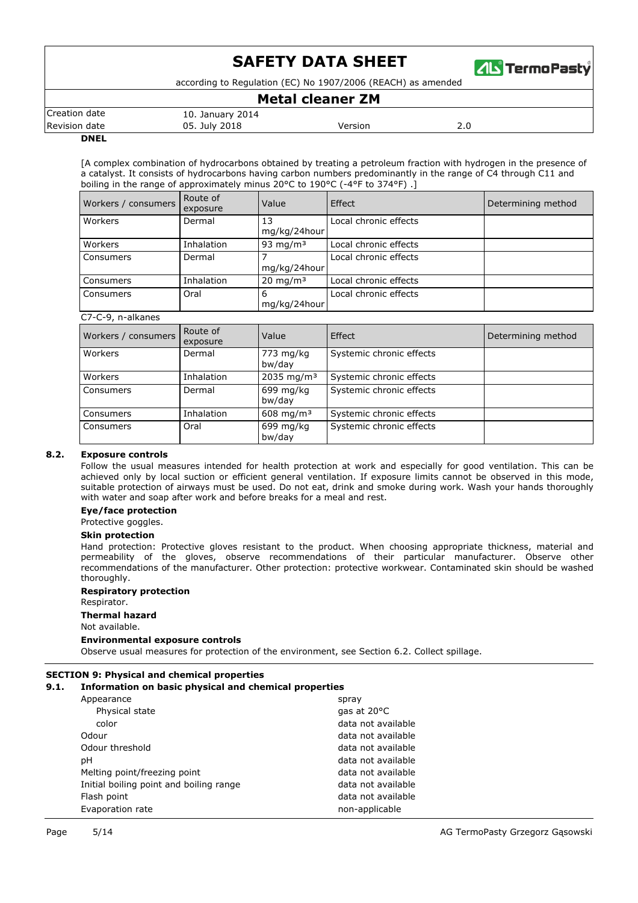

according to Regulation (EC) No 1907/2006 (REACH) as amended

## **Metal cleaner ZM**

|                      |                  | --------------------- |     |  |
|----------------------|------------------|-----------------------|-----|--|
| Creation date        | 10. January 2014 |                       |     |  |
| <b>Revision date</b> | 05. July 2018    | /ersion               | z.u |  |
| _ _ _ _ _            |                  |                       |     |  |

#### **DNEL**

[A complex combination of hydrocarbons obtained by treating a petroleum fraction with hydrogen in the presence of a catalyst. It consists of hydrocarbons having carbon numbers predominantly in the range of C4 through C11 and boiling in the range of approximately minus 20°C to 190°C (-4°F to 374°F) .]

| Workers / consumers | Route of<br>exposure | Value               | Effect                | Determining method |
|---------------------|----------------------|---------------------|-----------------------|--------------------|
| Workers             | Dermal               | 13<br>mg/kg/24hour  | Local chronic effects |                    |
| Workers             | Inhalation           | 93 mg/m $3$         | Local chronic effects |                    |
| Consumers           | Dermal               | mg/kg/24hour        | Local chronic effects |                    |
| Consumers           | Inhalation           | $20 \text{ mg/m}^3$ | Local chronic effects |                    |
| Consumers           | Oral                 | -6<br>mg/kg/24hour  | Local chronic effects |                    |
| C7-C-9, n-alkanes   |                      |                     |                       |                    |

| Workers / consumers | Route of<br>exposure | Value                   | Effect                   | Determining method |
|---------------------|----------------------|-------------------------|--------------------------|--------------------|
| Workers             | Dermal               | 773 mg/kg<br>bw/day     | Systemic chronic effects |                    |
| Workers             | Inhalation           | 2035 mg/m <sup>3</sup>  | Systemic chronic effects |                    |
| Consumers           | Dermal               | 699 mg/kg<br>bw/day     | Systemic chronic effects |                    |
| Consumers           | Inhalation           | $608 \,\mathrm{mg/m^3}$ | Systemic chronic effects |                    |
| Consumers           | Oral                 | 699 mg/kg<br>bw/day     | Systemic chronic effects |                    |

## **8.2. Exposure controls**

Follow the usual measures intended for health protection at work and especially for good ventilation. This can be achieved only by local suction or efficient general ventilation. If exposure limits cannot be observed in this mode, suitable protection of airways must be used. Do not eat, drink and smoke during work. Wash your hands thoroughly with water and soap after work and before breaks for a meal and rest.

#### **Eye/face protection**

#### Protective goggles.

#### **Skin protection**

Hand protection: Protective gloves resistant to the product. When choosing appropriate thickness, material and permeability of the gloves, observe recommendations of their particular manufacturer. Observe other recommendations of the manufacturer. Other protection: protective workwear. Contaminated skin should be washed thoroughly.

## **Respiratory protection**

#### Respirator.

## **Thermal hazard**

Not available.

#### **Environmental exposure controls**

Observe usual measures for protection of the environment, see Section 6.2. Collect spillage.

#### **SECTION 9: Physical and chemical properties**

|  | 9.1. | Information on basic physical and chemical properties |  |  |  |
|--|------|-------------------------------------------------------|--|--|--|
|--|------|-------------------------------------------------------|--|--|--|

| spray              |
|--------------------|
| gas at 20°C        |
| data not available |
| data not available |
| data not available |
| data not available |
| data not available |
| data not available |
| data not available |
| non-applicable     |
|                    |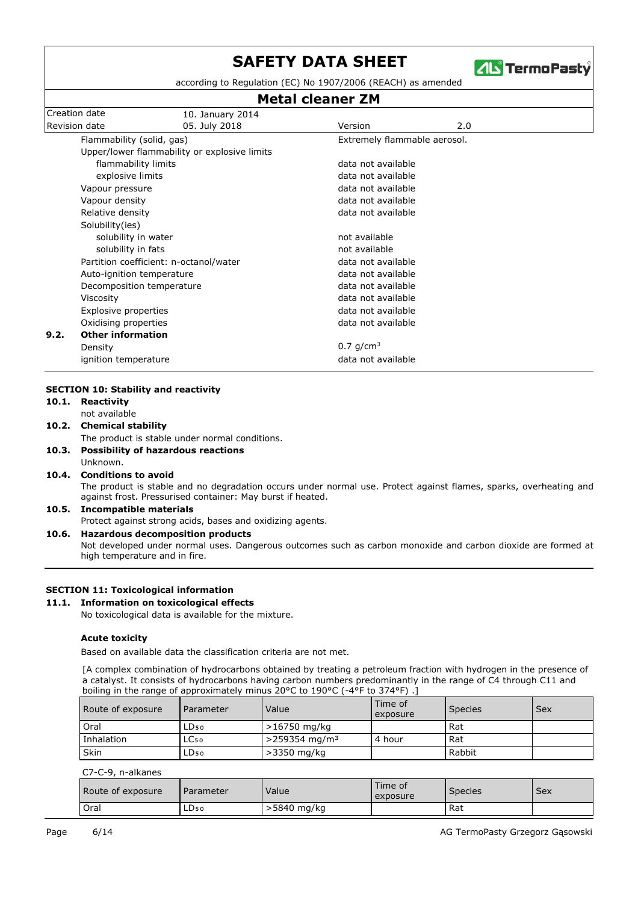

according to Regulation (EC) No 1907/2006 (REACH) as amended

## **Metal cleaner ZM**

|      | Creation date                                                                                                                                 | 10. January 2014                             |                              |     |  |
|------|-----------------------------------------------------------------------------------------------------------------------------------------------|----------------------------------------------|------------------------------|-----|--|
|      | <b>Revision date</b>                                                                                                                          | 05. July 2018                                | Version                      | 2.0 |  |
|      | Flammability (solid, gas)                                                                                                                     |                                              | Extremely flammable aerosol. |     |  |
|      |                                                                                                                                               | Upper/lower flammability or explosive limits |                              |     |  |
|      | flammability limits                                                                                                                           |                                              | data not available           |     |  |
|      | explosive limits                                                                                                                              |                                              | data not available           |     |  |
|      | Vapour pressure                                                                                                                               |                                              | data not available           |     |  |
|      | Vapour density                                                                                                                                |                                              | data not available           |     |  |
|      | Relative density                                                                                                                              |                                              | data not available           |     |  |
|      | Solubility(ies)                                                                                                                               |                                              |                              |     |  |
|      | solubility in water<br>solubility in fats<br>Partition coefficient: n-octanol/water<br>Auto-ignition temperature<br>Decomposition temperature |                                              | not available                |     |  |
|      |                                                                                                                                               |                                              | not available                |     |  |
|      |                                                                                                                                               |                                              | data not available           |     |  |
|      |                                                                                                                                               |                                              | data not available           |     |  |
|      |                                                                                                                                               |                                              | data not available           |     |  |
|      | Viscosity                                                                                                                                     |                                              | data not available           |     |  |
|      | Explosive properties                                                                                                                          |                                              | data not available           |     |  |
|      | Oxidising properties                                                                                                                          |                                              | data not available           |     |  |
| 9.2. | <b>Other information</b>                                                                                                                      |                                              |                              |     |  |
|      | Density                                                                                                                                       |                                              | 0.7 $q/cm^3$                 |     |  |
|      | ignition temperature                                                                                                                          |                                              | data not available           |     |  |

- **10.1. Reactivity**
	- not available
- **10.2. Chemical stability**

The product is stable under normal conditions.

- **10.3. Possibility of hazardous reactions**
- Unknown.
- **10.4. Conditions to avoid**

The product is stable and no degradation occurs under normal use. Protect against flames, sparks, overheating and against frost. Pressurised container: May burst if heated.

# **10.5. Incompatible materials**

Protect against strong acids, bases and oxidizing agents.

## **10.6. Hazardous decomposition products**

Not developed under normal uses. Dangerous outcomes such as carbon monoxide and carbon dioxide are formed at high temperature and in fire.

#### **SECTION 11: Toxicological information**

## **11.1. Information on toxicological effects**

No toxicological data is available for the mixture.

## **Acute toxicity**

Based on available data the classification criteria are not met.

[A complex combination of hydrocarbons obtained by treating a petroleum fraction with hydrogen in the presence of a catalyst. It consists of hydrocarbons having carbon numbers predominantly in the range of C4 through C11 and boiling in the range of approximately minus 20°C to 190°C (-4°F to 374°F) .]

| Route of exposure | Parameter        | Value                        | Time of<br>exposure | Species | Sex |
|-------------------|------------------|------------------------------|---------------------|---------|-----|
| Oral              | LD50             | >16750 mg/kg                 |                     | Rat     |     |
| Inhalation        | LC <sub>50</sub> | $>$ 259354 mg/m <sup>3</sup> | . 4 hour            | Rat     |     |
| Skin              | ∟D50             | >3350 mg/kg                  |                     | Rabbit  |     |

### C7-C-9, n-alkanes

| Route of exposure | Parameter | Value       | Time of<br>exposure | <b>Species</b> | Sex |
|-------------------|-----------|-------------|---------------------|----------------|-----|
| Ora <sub>i</sub>  | ∟D50      | >5840 mg/kg |                     | l Rat          |     |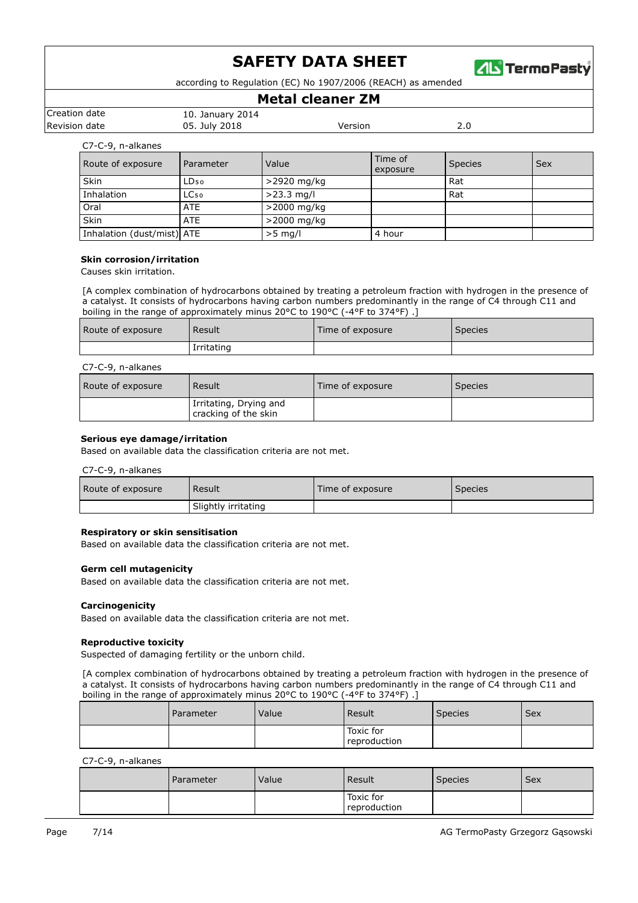

according to Regulation (EC) No 1907/2006 (REACH) as amended

## **Metal cleaner ZM**

| Creation date | 10. January 2014 |         |  |
|---------------|------------------|---------|--|
| Revision date | 05. July 2018    | Version |  |
|               |                  |         |  |

C7-C-9, n-alkanes

| Route of exposure          | Parameter        | Value        | Time of<br>exposure | <b>Species</b> | Sex |
|----------------------------|------------------|--------------|---------------------|----------------|-----|
| Skin                       | LD <sub>50</sub> | >2920 mg/kg  |                     | Rat            |     |
| Inhalation                 | LC <sub>50</sub> | $>23.3$ mg/l |                     | Rat            |     |
| Oral                       | <b>ATE</b>       | >2000 mg/kg  |                     |                |     |
| Skin                       | <b>ATE</b>       | >2000 mg/kg  |                     |                |     |
| Inhalation (dust/mist) ATE |                  | $>5$ mg/l    | 4 hour              |                |     |

#### **Skin corrosion/irritation**

Causes skin irritation.

[A complex combination of hydrocarbons obtained by treating a petroleum fraction with hydrogen in the presence of a catalyst. It consists of hydrocarbons having carbon numbers predominantly in the range of C4 through C11 and boiling in the range of approximately minus 20°C to 190°C (-4°F to 374°F) .]

| Route of exposure | Result     | Time of exposure | <b>Species</b> |
|-------------------|------------|------------------|----------------|
|                   | Irritating |                  |                |

### C7-C-9, n-alkanes

| Route of exposure | Result                                         | Time of exposure | <b>Species</b> |
|-------------------|------------------------------------------------|------------------|----------------|
|                   | Irritating, Drying and<br>cracking of the skin |                  |                |

#### **Serious eye damage/irritation**

Based on available data the classification criteria are not met.

#### C7-C-9, n-alkanes

| Route of exposure | Result              | Time of exposure | <b>Species</b> |
|-------------------|---------------------|------------------|----------------|
|                   | Slightly irritating |                  |                |

#### **Respiratory or skin sensitisation**

Based on available data the classification criteria are not met.

### **Germ cell mutagenicity**

Based on available data the classification criteria are not met.

#### **Carcinogenicity**

Based on available data the classification criteria are not met.

#### **Reproductive toxicity**

Suspected of damaging fertility or the unborn child.

[A complex combination of hydrocarbons obtained by treating a petroleum fraction with hydrogen in the presence of a catalyst. It consists of hydrocarbons having carbon numbers predominantly in the range of C4 through C11 and boiling in the range of approximately minus 20°C to 190°C (-4°F to 374°F) .]

| Parameter | Value | <b>Result</b>             | <b>Species</b> | <b>Sex</b> |
|-----------|-------|---------------------------|----------------|------------|
|           |       | Toxic for<br>reproduction |                |            |

C7-C-9, n-alkanes

| l Parameter | Value | l Result                  | Species | Sex |
|-------------|-------|---------------------------|---------|-----|
|             |       | Toxic for<br>reproduction |         |     |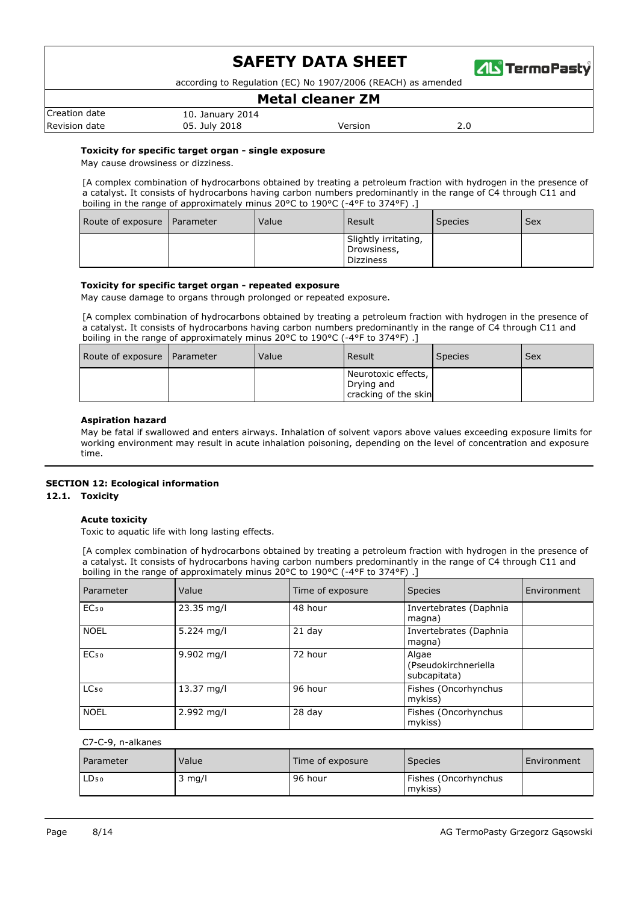

according to Regulation (EC) No 1907/2006 (REACH) as amended

## **Metal cleaner ZM**

| Creation date | 10. January 2014 |         |     |
|---------------|------------------|---------|-----|
| Revision date | 05. July 2018    | Version | ۷.c |

#### **Toxicity for specific target organ - single exposure**

May cause drowsiness or dizziness.

[A complex combination of hydrocarbons obtained by treating a petroleum fraction with hydrogen in the presence of a catalyst. It consists of hydrocarbons having carbon numbers predominantly in the range of C4 through C11 and boiling in the range of approximately minus 20°C to 190°C (-4°F to 374°F) .]

| Route of exposure   Parameter | Value | Result                                                  | Species <sup>®</sup> | <b>Sex</b> |
|-------------------------------|-------|---------------------------------------------------------|----------------------|------------|
|                               |       | Slightly irritating,<br>Drowsiness,<br><b>Dizziness</b> |                      |            |

#### **Toxicity for specific target organ - repeated exposure**

May cause damage to organs through prolonged or repeated exposure.

[A complex combination of hydrocarbons obtained by treating a petroleum fraction with hydrogen in the presence of a catalyst. It consists of hydrocarbons having carbon numbers predominantly in the range of C4 through C11 and boiling in the range of approximately minus 20°C to 190°C (-4°F to 374°F) .]

| Route of exposure   Parameter | Value | <b>Result</b>                                             | <b>Species</b> | Sex |
|-------------------------------|-------|-----------------------------------------------------------|----------------|-----|
|                               |       | Neurotoxic effects,<br>Drying and<br>cracking of the skin |                |     |

#### **Aspiration hazard**

May be fatal if swallowed and enters airways. Inhalation of solvent vapors above values exceeding exposure limits for working environment may result in acute inhalation poisoning, depending on the level of concentration and exposure time.

#### **SECTION 12: Ecological information**

#### **12.1. Toxicity**

### **Acute toxicity**

Toxic to aquatic life with long lasting effects.

[A complex combination of hydrocarbons obtained by treating a petroleum fraction with hydrogen in the presence of a catalyst. It consists of hydrocarbons having carbon numbers predominantly in the range of C4 through C11 and boiling in the range of approximately minus 20°C to 190°C (-4°F to 374°F).

| Parameter        | Value      | Time of exposure | <b>Species</b>                                | Environment |
|------------------|------------|------------------|-----------------------------------------------|-------------|
| EC <sub>50</sub> | 23.35 mg/l | 48 hour          | Invertebrates (Daphnia<br>magna)              |             |
| <b>NOEL</b>      | 5.224 mg/l | 21 day           | Invertebrates (Daphnia<br>magna)              |             |
| EC <sub>50</sub> | 9.902 mg/l | 72 hour          | Algae<br>(Pseudokirchneriella<br>subcapitata) |             |
| LC <sub>50</sub> | 13.37 mg/l | 96 hour          | Fishes (Oncorhynchus<br>mykiss)               |             |
| <b>NOEL</b>      | 2.992 mg/l | 28 day           | Fishes (Oncorhynchus<br>mykiss)               |             |

#### C7-C-9, n-alkanes

| Parameter        | Value  | Time of exposure | <b>Species</b>                  | Environment |
|------------------|--------|------------------|---------------------------------|-------------|
| LD <sub>50</sub> | mg/l د | 96 hour          | Fishes (Oncorhynchus<br>mykiss) |             |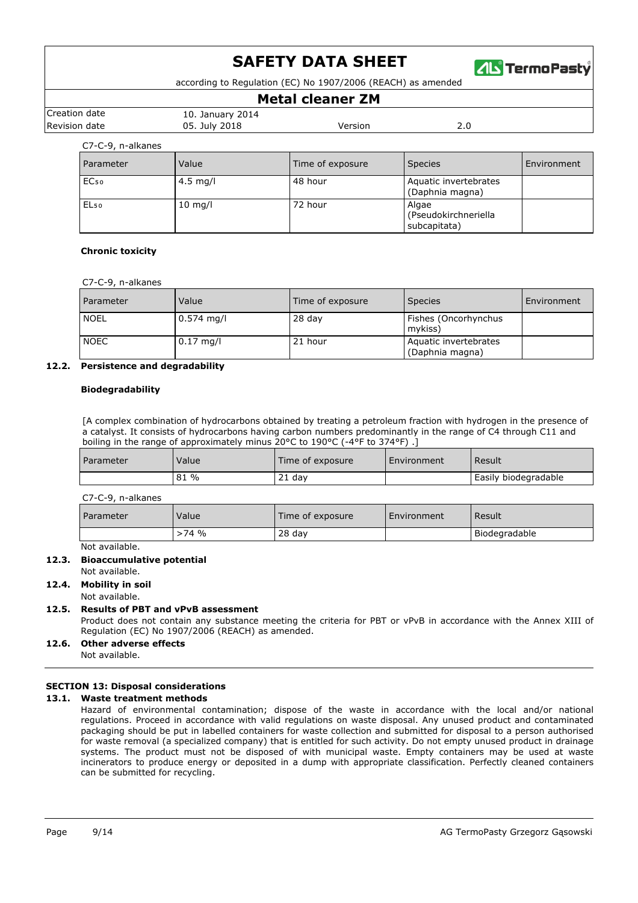

according to Regulation (EC) No 1907/2006 (REACH) as amended

## **Metal cleaner ZM**

| Creation date | 2014<br>10. January 1 |        |           |
|---------------|-----------------------|--------|-----------|
| Revision date | 05. July 2018         | ersion | z.u<br>__ |
|               |                       |        |           |

## C7-C-9, n-alkanes

| Parameter        | Value      | Time of exposure | <b>Species</b>                                | Environment |
|------------------|------------|------------------|-----------------------------------------------|-------------|
| EC <sub>50</sub> | $4.5$ mg/l | 48 hour          | Aquatic invertebrates<br>(Daphnia magna)      |             |
| EL <sub>50</sub> | $10$ mg/l  | 72 hour          | Algae<br>(Pseudokirchneriella<br>subcapitata) |             |

### **Chronic toxicity**

| <b>Parameter</b> | Value        | Time of exposure | <b>Species</b>                           | Environment |
|------------------|--------------|------------------|------------------------------------------|-------------|
| <b>NOEL</b>      | $0.574$ mg/l | $28$ day         | Fishes (Oncorhynchus<br>mvkiss)          |             |
| <b>NOEC</b>      | $0.17$ mg/l  | 21 hour          | Aquatic invertebrates<br>(Daphnia magna) |             |

## **12.2. Persistence and degradability**

### **Biodegradability**

[A complex combination of hydrocarbons obtained by treating a petroleum fraction with hydrogen in the presence of a catalyst. It consists of hydrocarbons having carbon numbers predominantly in the range of C4 through C11 and boiling in the range of approximately minus 20°C to 190°C (-4°F to 374°F) .]

| . Parameter | Value      | Time of exposure | Environment | Result               |
|-------------|------------|------------------|-------------|----------------------|
|             | $\%$<br>81 | . dav            |             | Easily biodegradable |

C7-C-9, n-alkanes

| Parameter | Value   | Time of exposure | <b>Environment</b> | Result        |
|-----------|---------|------------------|--------------------|---------------|
|           | $>74$ % | $28$ dav         |                    | Biodegradable |

Not available.

## **12.3. Bioaccumulative potential**

Not available.

## **12.4. Mobility in soil**

#### Not available.

## **12.5. Results of PBT and vPvB assessment**

Product does not contain any substance meeting the criteria for PBT or vPvB in accordance with the Annex XIII of Regulation (EC) No 1907/2006 (REACH) as amended.

## **12.6. Other adverse effects**

Not available.

## **SECTION 13: Disposal considerations**

## **13.1. Waste treatment methods**

Hazard of environmental contamination; dispose of the waste in accordance with the local and/or national regulations. Proceed in accordance with valid regulations on waste disposal. Any unused product and contaminated packaging should be put in labelled containers for waste collection and submitted for disposal to a person authorised for waste removal (a specialized company) that is entitled for such activity. Do not empty unused product in drainage systems. The product must not be disposed of with municipal waste. Empty containers may be used at waste incinerators to produce energy or deposited in a dump with appropriate classification. Perfectly cleaned containers can be submitted for recycling.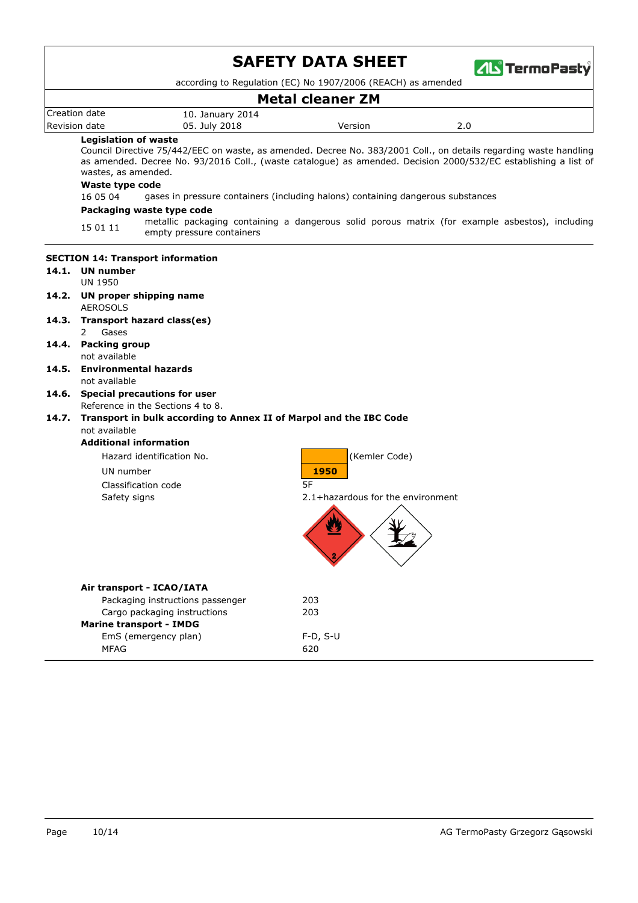|               |                                                                                                         | <b>SAFETY DATA SHEET</b><br><b>ZIL</b> TermoPasty                                                                                                                                                                                    |
|---------------|---------------------------------------------------------------------------------------------------------|--------------------------------------------------------------------------------------------------------------------------------------------------------------------------------------------------------------------------------------|
|               |                                                                                                         | according to Regulation (EC) No 1907/2006 (REACH) as amended                                                                                                                                                                         |
| Creation date |                                                                                                         | <b>Metal cleaner ZM</b>                                                                                                                                                                                                              |
| Revision date | 10. January 2014<br>05. July 2018                                                                       | 2.0<br>Version                                                                                                                                                                                                                       |
|               | <b>Legislation of waste</b>                                                                             |                                                                                                                                                                                                                                      |
|               | wastes, as amended.                                                                                     | Council Directive 75/442/EEC on waste, as amended. Decree No. 383/2001 Coll., on details regarding waste handling<br>as amended. Decree No. 93/2016 Coll., (waste catalogue) as amended. Decision 2000/532/EC establishing a list of |
|               | Waste type code                                                                                         |                                                                                                                                                                                                                                      |
|               | 16 05 04                                                                                                | gases in pressure containers (including halons) containing dangerous substances                                                                                                                                                      |
|               | Packaging waste type code                                                                               |                                                                                                                                                                                                                                      |
|               | 15 01 11<br>empty pressure containers                                                                   | metallic packaging containing a dangerous solid porous matrix (for example asbestos), including                                                                                                                                      |
|               | <b>SECTION 14: Transport information</b><br>14.1. UN number                                             |                                                                                                                                                                                                                                      |
|               | <b>UN 1950</b>                                                                                          |                                                                                                                                                                                                                                      |
|               | 14.2. UN proper shipping name<br><b>AEROSOLS</b>                                                        |                                                                                                                                                                                                                                      |
| 14.3.         | Transport hazard class(es)                                                                              |                                                                                                                                                                                                                                      |
|               | Gases<br>2                                                                                              |                                                                                                                                                                                                                                      |
| 14.4.         | <b>Packing group</b><br>not available                                                                   |                                                                                                                                                                                                                                      |
| 14.5.         | <b>Environmental hazards</b>                                                                            |                                                                                                                                                                                                                                      |
|               | not available                                                                                           |                                                                                                                                                                                                                                      |
| 14.6.         | <b>Special precautions for user</b>                                                                     |                                                                                                                                                                                                                                      |
| 14.7.         | Reference in the Sections 4 to 8.<br>Transport in bulk according to Annex II of Marpol and the IBC Code |                                                                                                                                                                                                                                      |
|               | not available                                                                                           |                                                                                                                                                                                                                                      |
|               | <b>Additional information</b>                                                                           |                                                                                                                                                                                                                                      |
|               | Hazard identification No.                                                                               | (Kemler Code)                                                                                                                                                                                                                        |
|               | UN number                                                                                               | 1950                                                                                                                                                                                                                                 |
|               | Classification code                                                                                     | 5F                                                                                                                                                                                                                                   |
|               | Safety signs                                                                                            | 2.1+hazardous for the environment                                                                                                                                                                                                    |
|               |                                                                                                         |                                                                                                                                                                                                                                      |
|               | Air transport - ICAO/IATA                                                                               |                                                                                                                                                                                                                                      |
|               | Packaging instructions passenger                                                                        | 203                                                                                                                                                                                                                                  |
|               | Cargo packaging instructions                                                                            | 203                                                                                                                                                                                                                                  |
|               | <b>Marine transport - IMDG</b><br>EmS (emergency plan)                                                  | $F-D, S-U$                                                                                                                                                                                                                           |
|               | MFAG                                                                                                    | 620                                                                                                                                                                                                                                  |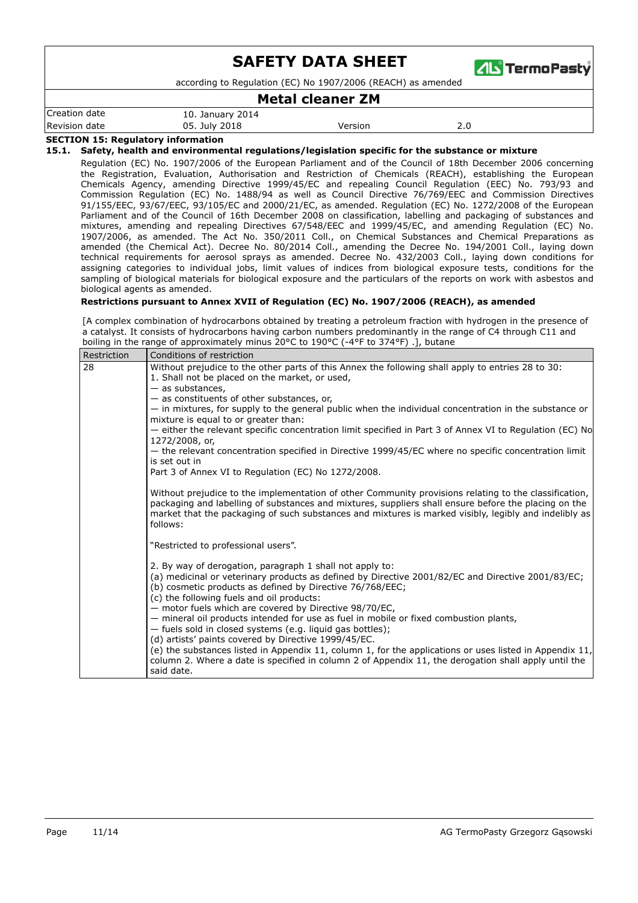

according to Regulation (EC) No 1907/2006 (REACH) as amended

## **Metal cleaner ZM**

|               |                  | .       |     |
|---------------|------------------|---------|-----|
| Creation date | 10. January 2014 |         |     |
| Revision date | 05. July 2018    | Version | 2.0 |

### **SECTION 15: Regulatory information**

**15.1. Safety, health and environmental regulations/legislation specific for the substance or mixture**

Regulation (EC) No. 1907/2006 of the European Parliament and of the Council of 18th December 2006 concerning the Registration, Evaluation, Authorisation and Restriction of Chemicals (REACH), establishing the European Chemicals Agency, amending Directive 1999/45/EC and repealing Council Regulation (EEC) No. 793/93 and Commission Regulation (EC) No. 1488/94 as well as Council Directive 76/769/EEC and Commission Directives 91/155/EEC, 93/67/EEC, 93/105/EC and 2000/21/EC, as amended. Regulation (EC) No. 1272/2008 of the European Parliament and of the Council of 16th December 2008 on classification, labelling and packaging of substances and mixtures, amending and repealing Directives 67/548/EEC and 1999/45/EC, and amending Regulation (EC) No. 1907/2006, as amended. The Act No. 350/2011 Coll., on Chemical Substances and Chemical Preparations as amended (the Chemical Act). Decree No. 80/2014 Coll., amending the Decree No. 194/2001 Coll., laying down technical requirements for aerosol sprays as amended. Decree No. 432/2003 Coll., laying down conditions for assigning categories to individual jobs, limit values of indices from biological exposure tests, conditions for the sampling of biological materials for biological exposure and the particulars of the reports on work with asbestos and biological agents as amended.

#### **Restrictions pursuant to Annex XVII of Regulation (EC) No. 1907/2006 (REACH), as amended**

[A complex combination of hydrocarbons obtained by treating a petroleum fraction with hydrogen in the presence of a catalyst. It consists of hydrocarbons having carbon numbers predominantly in the range of C4 through C11 and boiling in the range of approximately minus 20°C to 190°C (-4°F to 374°F) .], butane

| Restriction | Conditions of restriction                                                                                                                                                                                     |
|-------------|---------------------------------------------------------------------------------------------------------------------------------------------------------------------------------------------------------------|
| 28          | Without prejudice to the other parts of this Annex the following shall apply to entries 28 to 30:                                                                                                             |
|             | 1. Shall not be placed on the market, or used,                                                                                                                                                                |
|             | $-$ as substances,                                                                                                                                                                                            |
|             | - as constituents of other substances, or,                                                                                                                                                                    |
|             | - in mixtures, for supply to the general public when the individual concentration in the substance or<br>mixture is equal to or greater than:                                                                 |
|             | - either the relevant specific concentration limit specified in Part 3 of Annex VI to Regulation (EC) No                                                                                                      |
|             | 1272/2008, or,                                                                                                                                                                                                |
|             | - the relevant concentration specified in Directive 1999/45/EC where no specific concentration limit                                                                                                          |
|             | is set out in                                                                                                                                                                                                 |
|             | Part 3 of Annex VI to Regulation (EC) No 1272/2008.                                                                                                                                                           |
|             |                                                                                                                                                                                                               |
|             | Without prejudice to the implementation of other Community provisions relating to the classification,                                                                                                         |
|             | packaging and labelling of substances and mixtures, suppliers shall ensure before the placing on the<br>market that the packaging of such substances and mixtures is marked visibly, legibly and indelibly as |
|             | follows:                                                                                                                                                                                                      |
|             |                                                                                                                                                                                                               |
|             | "Restricted to professional users".                                                                                                                                                                           |
|             | 2. By way of derogation, paragraph 1 shall not apply to:                                                                                                                                                      |
|             | (a) medicinal or veterinary products as defined by Directive 2001/82/EC and Directive 2001/83/EC;                                                                                                             |
|             | (b) cosmetic products as defined by Directive 76/768/EEC;                                                                                                                                                     |
|             | (c) the following fuels and oil products:                                                                                                                                                                     |
|             | - motor fuels which are covered by Directive 98/70/EC,                                                                                                                                                        |
|             | - mineral oil products intended for use as fuel in mobile or fixed combustion plants,                                                                                                                         |
|             | - fuels sold in closed systems (e.g. liquid gas bottles);                                                                                                                                                     |
|             | (d) artists' paints covered by Directive 1999/45/EC.                                                                                                                                                          |
|             | (e) the substances listed in Appendix 11, column 1, for the applications or uses listed in Appendix 11,                                                                                                       |
|             | column 2. Where a date is specified in column 2 of Appendix 11, the derogation shall apply until the                                                                                                          |
|             | said date.                                                                                                                                                                                                    |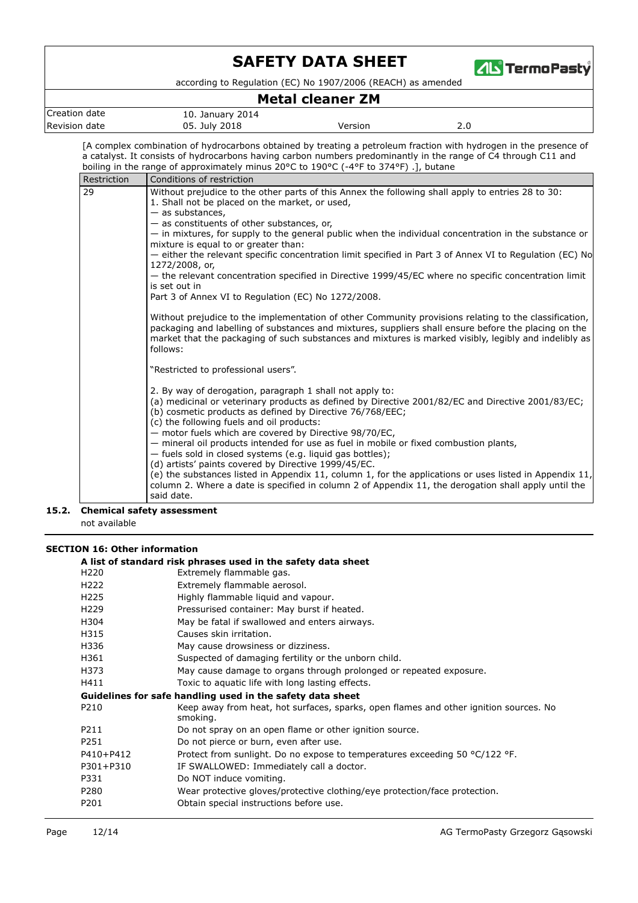

according to Regulation (EC) No 1907/2006 (REACH) as amended

## **Metal cleaner ZM**

| .                |                     |         |     |  |  |
|------------------|---------------------|---------|-----|--|--|
| Creation<br>date | 2014<br>January "   |         |     |  |  |
| Revision<br>date | 2018<br>July<br>05. | Version | z.u |  |  |

[A complex combination of hydrocarbons obtained by treating a petroleum fraction with hydrogen in the presence of a catalyst. It consists of hydrocarbons having carbon numbers predominantly in the range of C4 through C11 and boiling in the range of approximately minus 20°C to 190°C (-4°F to 374°F) .], butane

| Restriction | Conditions of restriction                                                                                                                                                                                                                                                                                                                                                                                                  |
|-------------|----------------------------------------------------------------------------------------------------------------------------------------------------------------------------------------------------------------------------------------------------------------------------------------------------------------------------------------------------------------------------------------------------------------------------|
| 29          | Without prejudice to the other parts of this Annex the following shall apply to entries 28 to 30:<br>1. Shall not be placed on the market, or used,<br>$-$ as substances,                                                                                                                                                                                                                                                  |
|             | - as constituents of other substances, or,<br>- in mixtures, for supply to the general public when the individual concentration in the substance or<br>mixture is equal to or greater than:                                                                                                                                                                                                                                |
|             | - either the relevant specific concentration limit specified in Part 3 of Annex VI to Regulation (EC) No<br>1272/2008, or,                                                                                                                                                                                                                                                                                                 |
|             | - the relevant concentration specified in Directive 1999/45/EC where no specific concentration limit<br>is set out in                                                                                                                                                                                                                                                                                                      |
|             | Part 3 of Annex VI to Regulation (EC) No 1272/2008.                                                                                                                                                                                                                                                                                                                                                                        |
|             | Without prejudice to the implementation of other Community provisions relating to the classification,<br>packaging and labelling of substances and mixtures, suppliers shall ensure before the placing on the<br>market that the packaging of such substances and mixtures is marked visibly, legibly and indelibly as<br>follows:                                                                                         |
|             | "Restricted to professional users".                                                                                                                                                                                                                                                                                                                                                                                        |
|             | 2. By way of derogation, paragraph 1 shall not apply to:<br>(a) medicinal or veterinary products as defined by Directive 2001/82/EC and Directive 2001/83/EC;<br>(b) cosmetic products as defined by Directive 76/768/EEC;<br>(c) the following fuels and oil products:<br>- motor fuels which are covered by Directive 98/70/EC,<br>- mineral oil products intended for use as fuel in mobile or fixed combustion plants, |
|             | - fuels sold in closed systems (e.g. liquid gas bottles);<br>(d) artists' paints covered by Directive 1999/45/EC.<br>(e) the substances listed in Appendix 11, column 1, for the applications or uses listed in Appendix 11,<br>column 2. Where a date is specified in column 2 of Appendix 11, the derogation shall apply until the<br>said date.                                                                         |

### not available **15.2. Chemical safety assessment**

|                  | A list of standard risk phrases used in the safety data sheet                                     |  |  |  |  |
|------------------|---------------------------------------------------------------------------------------------------|--|--|--|--|
| H <sub>220</sub> | Extremely flammable gas.                                                                          |  |  |  |  |
| H <sub>222</sub> | Extremely flammable aerosol.                                                                      |  |  |  |  |
| H <sub>225</sub> | Highly flammable liquid and vapour.                                                               |  |  |  |  |
| H <sub>229</sub> | Pressurised container: May burst if heated.                                                       |  |  |  |  |
| H304             | May be fatal if swallowed and enters airways.                                                     |  |  |  |  |
| H315             | Causes skin irritation.                                                                           |  |  |  |  |
| H336             | May cause drowsiness or dizziness.                                                                |  |  |  |  |
| H361             | Suspected of damaging fertility or the unborn child.                                              |  |  |  |  |
| H373             | May cause damage to organs through prolonged or repeated exposure.                                |  |  |  |  |
| H411             | Toxic to aquatic life with long lasting effects.                                                  |  |  |  |  |
|                  | Guidelines for safe handling used in the safety data sheet                                        |  |  |  |  |
| P <sub>210</sub> | Keep away from heat, hot surfaces, sparks, open flames and other ignition sources. No<br>smoking. |  |  |  |  |
| P211             | Do not spray on an open flame or other ignition source.                                           |  |  |  |  |
| P251             | Do not pierce or burn, even after use.                                                            |  |  |  |  |
| P410+P412        | Protect from sunlight. Do no expose to temperatures exceeding 50 °C/122 °F.                       |  |  |  |  |
| P301+P310        | IF SWALLOWED: Immediately call a doctor.                                                          |  |  |  |  |
| P331             | Do NOT induce vomiting.                                                                           |  |  |  |  |
| P280             | Wear protective gloves/protective clothing/eye protection/face protection.                        |  |  |  |  |
| P201             | Obtain special instructions before use.                                                           |  |  |  |  |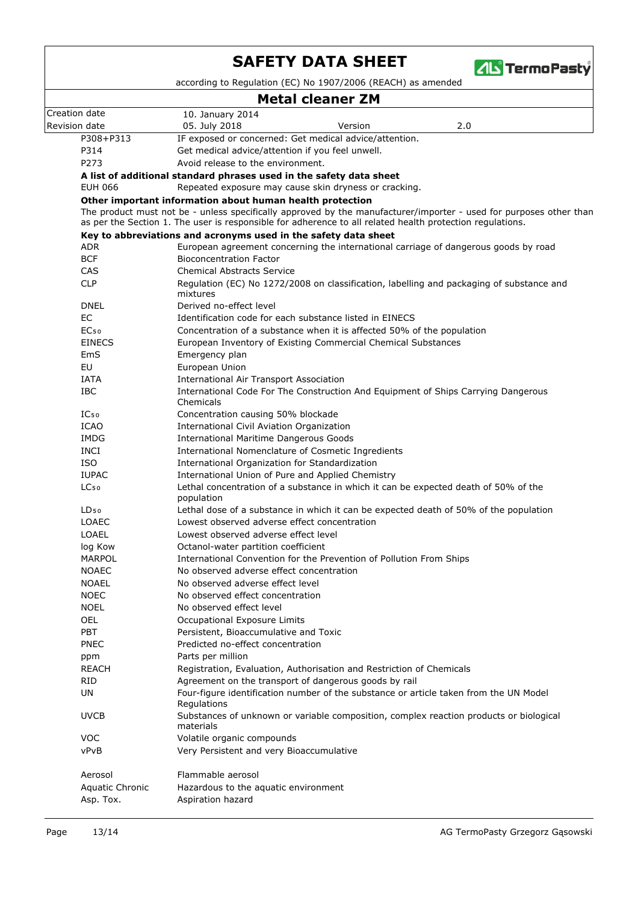

according to Regulation (EC) No 1907/2006 (REACH) as amended

# **Metal cleaner ZM**

|                        | metal cleaner ZM                                                                                                                                                                                                                |  |  |  |  |
|------------------------|---------------------------------------------------------------------------------------------------------------------------------------------------------------------------------------------------------------------------------|--|--|--|--|
| Creation date          | 10. January 2014                                                                                                                                                                                                                |  |  |  |  |
| Revision date          | Version<br>2.0<br>05. July 2018                                                                                                                                                                                                 |  |  |  |  |
| P308+P313              | IF exposed or concerned: Get medical advice/attention.                                                                                                                                                                          |  |  |  |  |
| P314                   | Get medical advice/attention if you feel unwell.                                                                                                                                                                                |  |  |  |  |
| P273                   | Avoid release to the environment.                                                                                                                                                                                               |  |  |  |  |
|                        | A list of additional standard phrases used in the safety data sheet                                                                                                                                                             |  |  |  |  |
| <b>EUH 066</b>         | Repeated exposure may cause skin dryness or cracking.                                                                                                                                                                           |  |  |  |  |
|                        | Other important information about human health protection                                                                                                                                                                       |  |  |  |  |
|                        | The product must not be - unless specifically approved by the manufacturer/importer - used for purposes other than<br>as per the Section 1. The user is responsible for adherence to all related health protection regulations. |  |  |  |  |
|                        | Key to abbreviations and acronyms used in the safety data sheet                                                                                                                                                                 |  |  |  |  |
| <b>ADR</b>             | European agreement concerning the international carriage of dangerous goods by road                                                                                                                                             |  |  |  |  |
| <b>BCF</b>             | <b>Bioconcentration Factor</b>                                                                                                                                                                                                  |  |  |  |  |
| CAS                    | <b>Chemical Abstracts Service</b>                                                                                                                                                                                               |  |  |  |  |
| <b>CLP</b>             | Regulation (EC) No 1272/2008 on classification, labelling and packaging of substance and<br>mixtures                                                                                                                            |  |  |  |  |
| <b>DNEL</b>            | Derived no-effect level                                                                                                                                                                                                         |  |  |  |  |
| EC                     | Identification code for each substance listed in EINECS                                                                                                                                                                         |  |  |  |  |
| EC <sub>50</sub>       | Concentration of a substance when it is affected 50% of the population                                                                                                                                                          |  |  |  |  |
| <b>EINECS</b>          | European Inventory of Existing Commercial Chemical Substances                                                                                                                                                                   |  |  |  |  |
| <b>EmS</b>             | Emergency plan                                                                                                                                                                                                                  |  |  |  |  |
| EU                     | European Union                                                                                                                                                                                                                  |  |  |  |  |
| <b>IATA</b>            | International Air Transport Association                                                                                                                                                                                         |  |  |  |  |
| <b>IBC</b>             | International Code For The Construction And Equipment of Ships Carrying Dangerous<br>Chemicals                                                                                                                                  |  |  |  |  |
| IC <sub>50</sub>       | Concentration causing 50% blockade                                                                                                                                                                                              |  |  |  |  |
| <b>ICAO</b>            | International Civil Aviation Organization                                                                                                                                                                                       |  |  |  |  |
| <b>IMDG</b>            | <b>International Maritime Dangerous Goods</b>                                                                                                                                                                                   |  |  |  |  |
| <b>INCI</b>            | International Nomenclature of Cosmetic Ingredients                                                                                                                                                                              |  |  |  |  |
| <b>ISO</b>             | International Organization for Standardization                                                                                                                                                                                  |  |  |  |  |
| <b>IUPAC</b>           | International Union of Pure and Applied Chemistry                                                                                                                                                                               |  |  |  |  |
| LC <sub>50</sub>       | Lethal concentration of a substance in which it can be expected death of 50% of the<br>population                                                                                                                               |  |  |  |  |
| $LD_{50}$              | Lethal dose of a substance in which it can be expected death of 50% of the population                                                                                                                                           |  |  |  |  |
| <b>LOAEC</b>           | Lowest observed adverse effect concentration                                                                                                                                                                                    |  |  |  |  |
| <b>LOAEL</b>           | Lowest observed adverse effect level                                                                                                                                                                                            |  |  |  |  |
| log Kow                | Octanol-water partition coefficient                                                                                                                                                                                             |  |  |  |  |
| <b>MARPOL</b>          | International Convention for the Prevention of Pollution From Ships                                                                                                                                                             |  |  |  |  |
| <b>NOAEC</b>           | No observed adverse effect concentration                                                                                                                                                                                        |  |  |  |  |
| <b>NOAEL</b>           | No observed adverse effect level                                                                                                                                                                                                |  |  |  |  |
| <b>NOEC</b>            | No observed effect concentration                                                                                                                                                                                                |  |  |  |  |
| <b>NOEL</b>            | No observed effect level                                                                                                                                                                                                        |  |  |  |  |
| <b>OEL</b>             | Occupational Exposure Limits                                                                                                                                                                                                    |  |  |  |  |
| PBT                    | Persistent, Bioaccumulative and Toxic<br>Predicted no-effect concentration                                                                                                                                                      |  |  |  |  |
| <b>PNEC</b>            |                                                                                                                                                                                                                                 |  |  |  |  |
| ppm<br><b>REACH</b>    | Parts per million                                                                                                                                                                                                               |  |  |  |  |
| <b>RID</b>             | Registration, Evaluation, Authorisation and Restriction of Chemicals<br>Agreement on the transport of dangerous goods by rail                                                                                                   |  |  |  |  |
| UN                     | Four-figure identification number of the substance or article taken from the UN Model                                                                                                                                           |  |  |  |  |
|                        | Regulations                                                                                                                                                                                                                     |  |  |  |  |
| <b>UVCB</b>            | Substances of unknown or variable composition, complex reaction products or biological<br>materials                                                                                                                             |  |  |  |  |
| <b>VOC</b>             | Volatile organic compounds                                                                                                                                                                                                      |  |  |  |  |
| vPvB                   | Very Persistent and very Bioaccumulative                                                                                                                                                                                        |  |  |  |  |
| Aerosol                | Flammable aerosol                                                                                                                                                                                                               |  |  |  |  |
| <b>Aquatic Chronic</b> | Hazardous to the aquatic environment                                                                                                                                                                                            |  |  |  |  |
| Asp. Tox.              | Aspiration hazard                                                                                                                                                                                                               |  |  |  |  |